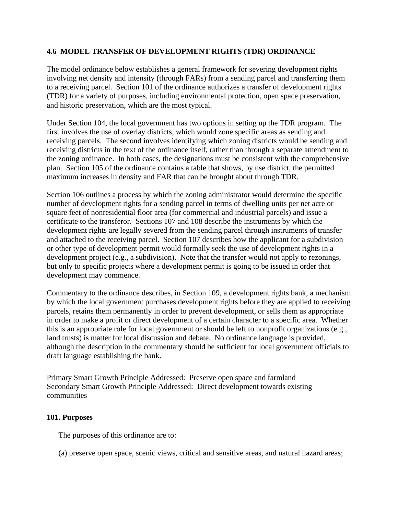## **4.6 MODEL TRANSFER OF DEVELOPMENT RIGHTS (TDR) ORDINANCE**

The model ordinance below establishes a general framework for severing development rights involving net density and intensity (through FARs) from a sending parcel and transferring them to a receiving parcel. Section 101 of the ordinance authorizes a transfer of development rights (TDR) for a variety of purposes, including environmental protection, open space preservation, and historic preservation, which are the most typical.

Under Section 104, the local government has two options in setting up the TDR program. The first involves the use of overlay districts, which would zone specific areas as sending and receiving parcels. The second involves identifying which zoning districts would be sending and receiving districts in the text of the ordinance itself, rather than through a separate amendment to the zoning ordinance. In both cases, the designations must be consistent with the comprehensive plan. Section 105 of the ordinance contains a table that shows, by use district, the permitted maximum increases in density and FAR that can be brought about through TDR.

Section 106 outlines a process by which the zoning administrator would determine the specific number of development rights for a sending parcel in terms of dwelling units per net acre or square feet of nonresidential floor area (for commercial and industrial parcels) and issue a certificate to the transferor. Sections 107 and 108 describe the instruments by which the development rights are legally severed from the sending parcel through instruments of transfer and attached to the receiving parcel. Section 107 describes how the applicant for a subdivision or other type of development permit would formally seek the use of development rights in a development project (e.g., a subdivision). Note that the transfer would not apply to rezonings, but only to specific projects where a development permit is going to be issued in order that development may commence.

Commentary to the ordinance describes, in Section 109, a development rights bank, a mechanism by which the local government purchases development rights before they are applied to receiving parcels, retains them permanently in order to prevent development, or sells them as appropriate in order to make a profit or direct development of a certain character to a specific area. Whether this is an appropriate role for local government or should be left to nonprofit organizations (e.g., land trusts) is matter for local discussion and debate. No ordinance language is provided, although the description in the commentary should be sufficient for local government officials to draft language establishing the bank.

Primary Smart Growth Principle Addressed: Preserve open space and farmland Secondary Smart Growth Principle Addressed: Direct development towards existing communities

#### **101. Purposes**

The purposes of this ordinance are to:

(a) preserve open space, scenic views, critical and sensitive areas, and natural hazard areas;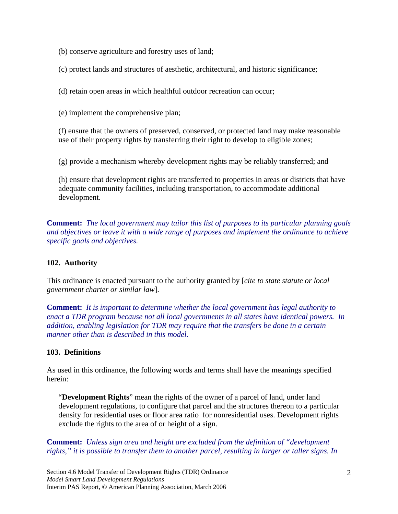(b) conserve agriculture and forestry uses of land;

(c) protect lands and structures of aesthetic, architectural, and historic significance;

(d) retain open areas in which healthful outdoor recreation can occur;

(e) implement the comprehensive plan;

(f) ensure that the owners of preserved, conserved, or protected land may make reasonable use of their property rights by transferring their right to develop to eligible zones;

(g) provide a mechanism whereby development rights may be reliably transferred; and

(h) ensure that development rights are transferred to properties in areas or districts that have adequate community facilities, including transportation, to accommodate additional development.

**Comment:** *The local government may tailor this list of purposes to its particular planning goals and objectives or leave it with a wide range of purposes and implement the ordinance to achieve specific goals and objectives.* 

# **102. Authority**

This ordinance is enacted pursuant to the authority granted by [*cite to state statute or local government charter or similar law*].

**Comment:** *It is important to determine whether the local government has legal authority to enact a TDR program because not all local governments in all states have identical powers. In addition, enabling legislation for TDR may require that the transfers be done in a certain manner other than is described in this model.*

# **103. Definitions**

As used in this ordinance, the following words and terms shall have the meanings specified herein:

 "**Development Rights**" mean the rights of the owner of a parcel of land, under land development regulations, to configure that parcel and the structures thereon to a particular density for residential uses or floor area ratio for nonresidential uses. Development rights exclude the rights to the area of or height of a sign.

**Comment:** *Unless sign area and height are excluded from the definition of "development rights," it is possible to transfer them to another parcel, resulting in larger or taller signs. In*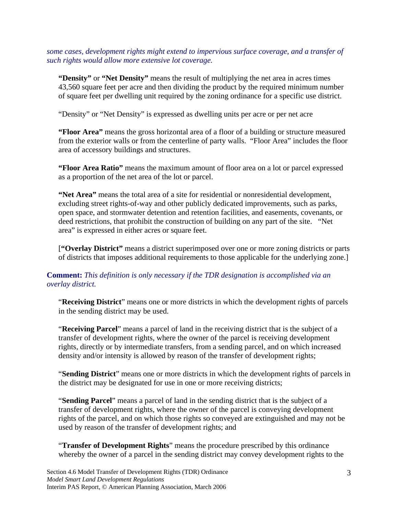*some cases, development rights might extend to impervious surface coverage, and a transfer of such rights would allow more extensive lot coverage.* 

**"Density"** or **"Net Density"** means the result of multiplying the net area in acres times 43,560 square feet per acre and then dividing the product by the required minimum number of square feet per dwelling unit required by the zoning ordinance for a specific use district.

"Density" or "Net Density" is expressed as dwelling units per acre or per net acre

**"Floor Area"** means the gross horizontal area of a floor of a building or structure measured from the exterior walls or from the centerline of party walls. "Floor Area" includes the floor area of accessory buildings and structures.

**"Floor Area Ratio"** means the maximum amount of floor area on a lot or parcel expressed as a proportion of the net area of the lot or parcel.

 **"Net Area"** means the total area of a site for residential or nonresidential development, excluding street rights-of-way and other publicly dedicated improvements, such as parks, open space, and stormwater detention and retention facilities, and easements, covenants, or deed restrictions, that prohibit the construction of building on any part of the site. "Net area" is expressed in either acres or square feet.

 [**"Overlay District"** means a district superimposed over one or more zoning districts or parts of districts that imposes additional requirements to those applicable for the underlying zone.]

# **Comment:** *This definition is only necessary if the TDR designation is accomplished via an overlay district.*

"**Receiving District**" means one or more districts in which the development rights of parcels in the sending district may be used.

"**Receiving Parcel**" means a parcel of land in the receiving district that is the subject of a transfer of development rights, where the owner of the parcel is receiving development rights, directly or by intermediate transfers, from a sending parcel, and on which increased density and/or intensity is allowed by reason of the transfer of development rights;

"**Sending District**" means one or more districts in which the development rights of parcels in the district may be designated for use in one or more receiving districts;

"**Sending Parcel**" means a parcel of land in the sending district that is the subject of a transfer of development rights, where the owner of the parcel is conveying development rights of the parcel, and on which those rights so conveyed are extinguished and may not be used by reason of the transfer of development rights; and

"**Transfer of Development Rights**" means the procedure prescribed by this ordinance whereby the owner of a parcel in the sending district may convey development rights to the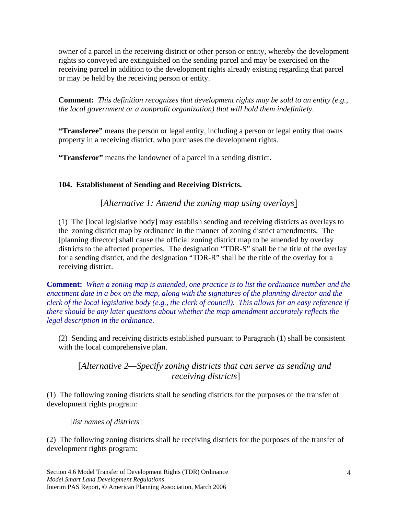owner of a parcel in the receiving district or other person or entity, whereby the development rights so conveyed are extinguished on the sending parcel and may be exercised on the receiving parcel in addition to the development rights already existing regarding that parcel or may be held by the receiving person or entity.

**Comment:** *This definition recognizes that development rights may be sold to an entity (e.g., the local government or a nonprofit organization) that will hold them indefinitely.* 

**"Transferee"** means the person or legal entity, including a person or legal entity that owns property in a receiving district, who purchases the development rights.

**"Transferor"** means the landowner of a parcel in a sending district.

# **104. Establishment of Sending and Receiving Districts.**

[*Alternative 1: Amend the zoning map using overlays*]

(1) The [local legislative body] may establish sending and receiving districts as overlays to the zoning district map by ordinance in the manner of zoning district amendments. The [planning director] shall cause the official zoning district map to be amended by overlay districts to the affected properties. The designation "TDR-S" shall be the title of the overlay for a sending district, and the designation "TDR-R" shall be the title of the overlay for a receiving district.

**Comment:** *When a zoning map is amended, one practice is to list the ordinance number and the enactment date in a box on the map, along with the signatures of the planning director and the clerk of the local legislative body (e.g., the clerk of council). This allows for an easy reference if there should be any later questions about whether the map amendment accurately reflects the legal description in the ordinance.* 

(2) Sending and receiving districts established pursuant to Paragraph (1) shall be consistent with the local comprehensive plan.

[*Alternative 2—Specify zoning districts that can serve as sending and receiving districts*]

(1) The following zoning districts shall be sending districts for the purposes of the transfer of development rights program:

[*list names of districts*]

(2) The following zoning districts shall be receiving districts for the purposes of the transfer of development rights program: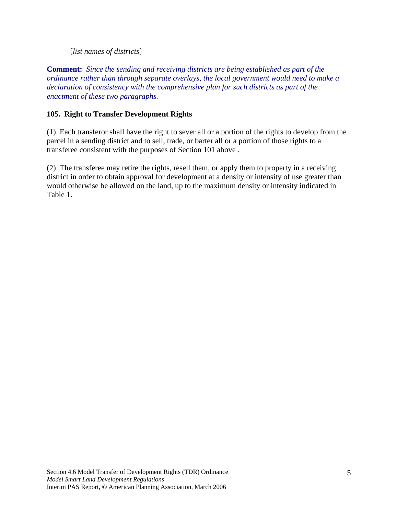## [*list names of districts*]

**Comment:** *Since the sending and receiving districts are being established as part of the ordinance rather than through separate overlays, the local government would need to make a declaration of consistency with the comprehensive plan for such districts as part of the enactment of these two paragraphs.* 

## **105. Right to Transfer Development Rights**

(1) Each transferor shall have the right to sever all or a portion of the rights to develop from the parcel in a sending district and to sell, trade, or barter all or a portion of those rights to a transferee consistent with the purposes of Section 101 above .

(2) The transferee may retire the rights, resell them, or apply them to property in a receiving district in order to obtain approval for development at a density or intensity of use greater than would otherwise be allowed on the land, up to the maximum density or intensity indicated in Table 1.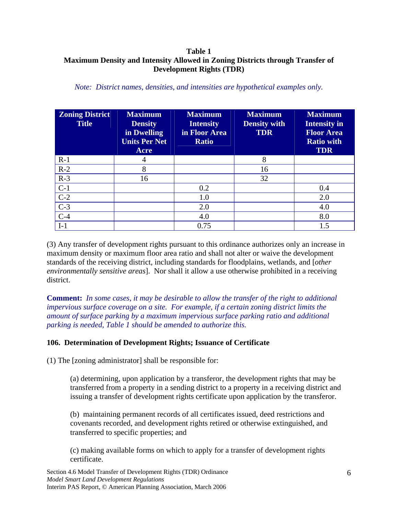# **Table 1 Maximum Density and Intensity Allowed in Zoning Districts through Transfer of Development Rights (TDR)**

| <b>Zoning District</b><br><b>Title</b> | <b>Maximum</b><br><b>Density</b><br>in Dwelling<br><b>Units Per Net</b><br>Acre | <b>Maximum</b><br><b>Intensity</b><br>in Floor Area<br><b>Ratio</b> | <b>Maximum</b><br><b>Density with</b><br><b>TDR</b> | <b>Maximum</b><br><b>Intensity in</b><br><b>Floor Area</b><br><b>Ratio with</b><br><b>TDR</b> |
|----------------------------------------|---------------------------------------------------------------------------------|---------------------------------------------------------------------|-----------------------------------------------------|-----------------------------------------------------------------------------------------------|
| $R-1$                                  | 4                                                                               |                                                                     | 8                                                   |                                                                                               |
| $R-2$                                  | 8                                                                               |                                                                     | 16                                                  |                                                                                               |
| $R-3$                                  | 16                                                                              |                                                                     | 32                                                  |                                                                                               |
| $C-1$                                  |                                                                                 | 0.2                                                                 |                                                     | 0.4                                                                                           |
| $C-2$                                  |                                                                                 | 1.0                                                                 |                                                     | 2.0                                                                                           |
| $\overline{C-3}$                       |                                                                                 | 2.0                                                                 |                                                     | 4.0                                                                                           |
| $C-4$                                  |                                                                                 | 4.0                                                                 |                                                     | 8.0                                                                                           |
| $I-1$                                  |                                                                                 | 0.75                                                                |                                                     | 1.5                                                                                           |

*Note: District names, densities, and intensities are hypothetical examples only.* 

(3) Any transfer of development rights pursuant to this ordinance authorizes only an increase in maximum density or maximum floor area ratio and shall not alter or waive the development standards of the receiving district, including standards for floodplains, wetlands, and [*other environmentally sensitive areas*]. Nor shall it allow a use otherwise prohibited in a receiving district.

**Comment:** *In some cases, it may be desirable to allow the transfer of the right to additional impervious surface coverage on a site. For example, if a certain zoning district limits the amount of surface parking by a maximum impervious surface parking ratio and additional parking is needed, Table 1 should be amended to authorize this.* 

# **106. Determination of Development Rights; Issuance of Certificate**

(1) The [zoning administrator] shall be responsible for:

(a) determining, upon application by a transferor, the development rights that may be transferred from a property in a sending district to a property in a receiving district and issuing a transfer of development rights certificate upon application by the transferor.

(b) maintaining permanent records of all certificates issued, deed restrictions and covenants recorded, and development rights retired or otherwise extinguished, and transferred to specific properties; and

(c) making available forms on which to apply for a transfer of development rights certificate.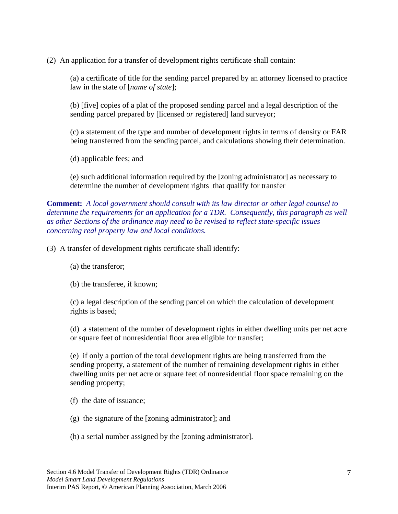(2) An application for a transfer of development rights certificate shall contain:

(a) a certificate of title for the sending parcel prepared by an attorney licensed to practice law in the state of [*name of state*];

(b) [five] copies of a plat of the proposed sending parcel and a legal description of the sending parcel prepared by [licensed *or* registered] land surveyor;

(c) a statement of the type and number of development rights in terms of density or FAR being transferred from the sending parcel, and calculations showing their determination.

(d) applicable fees; and

(e) such additional information required by the [zoning administrator] as necessary to determine the number of development rights that qualify for transfer

**Comment:** *A local government should consult with its law director or other legal counsel to determine the requirements for an application for a TDR. Consequently, this paragraph as well as other Sections of the ordinance may need to be revised to reflect state-specific issues concerning real property law and local conditions.*

(3) A transfer of development rights certificate shall identify:

(a) the transferor;

(b) the transferee, if known;

(c) a legal description of the sending parcel on which the calculation of development rights is based;

(d) a statement of the number of development rights in either dwelling units per net acre or square feet of nonresidential floor area eligible for transfer;

(e) if only a portion of the total development rights are being transferred from the sending property, a statement of the number of remaining development rights in either dwelling units per net acre or square feet of nonresidential floor space remaining on the sending property;

- (f) the date of issuance;
- (g) the signature of the [zoning administrator]; and
- (h) a serial number assigned by the [zoning administrator].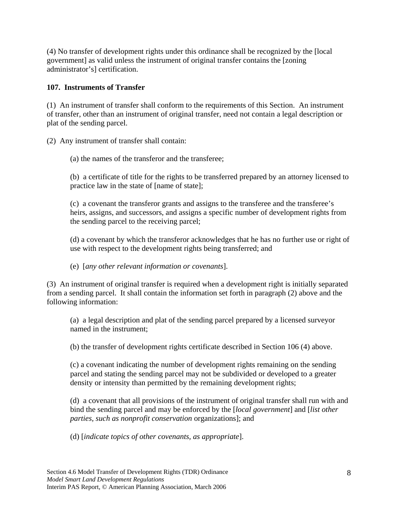(4) No transfer of development rights under this ordinance shall be recognized by the [local government] as valid unless the instrument of original transfer contains the [zoning administrator's] certification.

# **107. Instruments of Transfer**

(1) An instrument of transfer shall conform to the requirements of this Section. An instrument of transfer, other than an instrument of original transfer, need not contain a legal description or plat of the sending parcel.

(2) Any instrument of transfer shall contain:

(a) the names of the transferor and the transferee;

(b) a certificate of title for the rights to be transferred prepared by an attorney licensed to practice law in the state of [name of state];

(c) a covenant the transferor grants and assigns to the transferee and the transferee's heirs, assigns, and successors, and assigns a specific number of development rights from the sending parcel to the receiving parcel;

(d) a covenant by which the transferor acknowledges that he has no further use or right of use with respect to the development rights being transferred; and

(e) [*any other relevant information or covenants*].

(3) An instrument of original transfer is required when a development right is initially separated from a sending parcel. It shall contain the information set forth in paragraph (2) above and the following information:

(a) a legal description and plat of the sending parcel prepared by a licensed surveyor named in the instrument;

(b) the transfer of development rights certificate described in Section 106 (4) above.

(c) a covenant indicating the number of development rights remaining on the sending parcel and stating the sending parcel may not be subdivided or developed to a greater density or intensity than permitted by the remaining development rights;

(d) a covenant that all provisions of the instrument of original transfer shall run with and bind the sending parcel and may be enforced by the [*local government*] and [*list other parties, such as nonprofit conservation* organizations]; and

(d) [*indicate topics of other covenants, as appropriate*].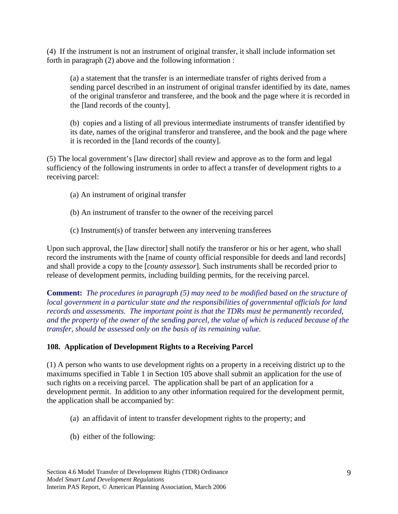(4) If the instrument is not an instrument of original transfer, it shall include information set forth in paragraph (2) above and the following information :

(a) a statement that the transfer is an intermediate transfer of rights derived from a sending parcel described in an instrument of original transfer identified by its date, names of the original transferor and transferee, and the book and the page where it is recorded in the [land records of the county].

(b) copies and a listing of all previous intermediate instruments of transfer identified by its date, names of the original transferor and transferee, and the book and the page where it is recorded in the [land records of the county].

(5) The local government's [law director] shall review and approve as to the form and legal sufficiency of the following instruments in order to affect a transfer of development rights to a receiving parcel:

- (a) An instrument of original transfer
- (b) An instrument of transfer to the owner of the receiving parcel
- (c) Instrument(s) of transfer between any intervening transferees

Upon such approval, the [law director] shall notify the transferor or his or her agent, who shall record the instruments with the [name of county official responsible for deeds and land records] and shall provide a copy to the [*county assessor*]. Such instruments shall be recorded prior to release of development permits, including building permits, for the receiving parcel.

**Comment:** *The procedures in paragraph (5) may need to be modified based on the structure of local government in a particular state and the responsibilities of governmental officials for land records and assessments. The important point is that the TDRs must be permanently recorded, and the property of the owner of the sending parcel, the value of which is reduced because of the transfer, should be assessed only on the basis of its remaining value.*

#### **108. Application of Development Rights to a Receiving Parcel**

(1) A person who wants to use development rights on a property in a receiving district up to the maximums specified in Table 1 in Section 105 above shall submit an application for the use of such rights on a receiving parcel. The application shall be part of an application for a development permit. In addition to any other information required for the development permit, the application shall be accompanied by:

- (a) an affidavit of intent to transfer development rights to the property; and
- (b) either of the following: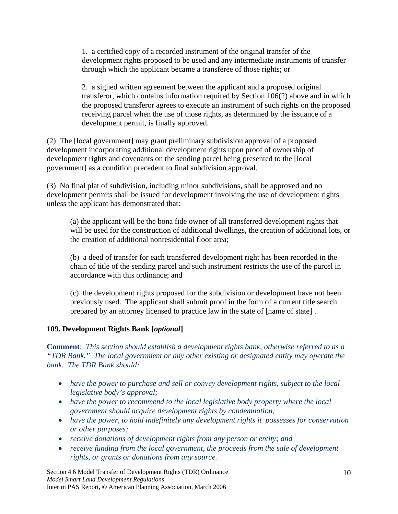1. a certified copy of a recorded instrument of the original transfer of the development rights proposed to be used and any intermediate instruments of transfer through which the applicant became a transferee of those rights; or

2. a signed written agreement between the applicant and a proposed original transferor, which contains information required by Section 106(2) above and in which the proposed transferor agrees to execute an instrument of such rights on the proposed receiving parcel when the use of those rights, as determined by the issuance of a development permit, is finally approved.

(2) The [local government] may grant preliminary subdivision approval of a proposed development incorporating additional development rights upon proof of ownership of development rights and covenants on the sending parcel being presented to the [local government] as a condition precedent to final subdivision approval.

(3) No final plat of subdivision, including minor subdivisions, shall be approved and no development permits shall be issued for development involving the use of development rights unless the applicant has demonstrated that:

(a) the applicant will be the bona fide owner of all transferred development rights that will be used for the construction of additional dwellings, the creation of additional lots, or the creation of additional nonresidential floor area;

(b) a deed of transfer for each transferred development right has been recorded in the chain of title of the sending parcel and such instrument restricts the use of the parcel in accordance with this ordinance; and

(c) the development rights proposed for the subdivision or development have not been previously used. The applicant shall submit proof in the form of a current title search prepared by an attorney licensed to practice law in the state of [name of state] .

# **109. Development Rights Bank [***optional***]**

**Comment**: *This section should establish a development rights bank, otherwise referred to as a "TDR Bank." The local government or any other existing or designated entity may operate the bank. The TDR Bank should:* 

- *have the power to purchase and sell or convey development rights, subject to the local legislative body's approval;*
- *have the power to recommend to the local legislative body property where the local government should acquire development rights by condemnation;*
- *have the power, to hold indefinitely any development rights it possesses for conservation or other purposes;*
- *receive donations of development rights from any person or entity; and*
- *receive funding from the local government, the proceeds from the sale of development rights, or grants or donations from any source.*

Section 4.6 Model Transfer of Development Rights (TDR) Ordinance *Model Smart Land Development Regulations*  Interim PAS Report, © American Planning Association, March 2006